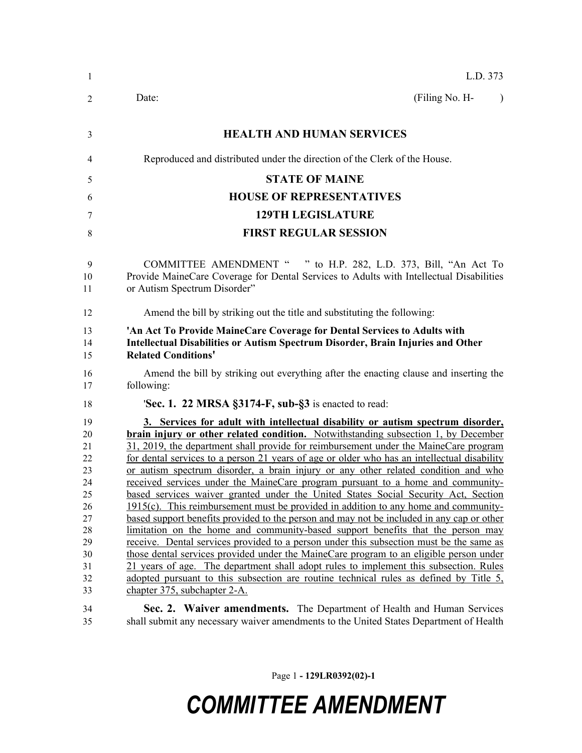| 1                                                                                      | L.D. 373                                                                                                                                                                                                                                                                                                                                                                                                                                                                                                                                                                                                                                                                                                                                                                                                                                                                                                                                                                                                                                                                                                                                                                                                                                                                                                             |  |  |  |
|----------------------------------------------------------------------------------------|----------------------------------------------------------------------------------------------------------------------------------------------------------------------------------------------------------------------------------------------------------------------------------------------------------------------------------------------------------------------------------------------------------------------------------------------------------------------------------------------------------------------------------------------------------------------------------------------------------------------------------------------------------------------------------------------------------------------------------------------------------------------------------------------------------------------------------------------------------------------------------------------------------------------------------------------------------------------------------------------------------------------------------------------------------------------------------------------------------------------------------------------------------------------------------------------------------------------------------------------------------------------------------------------------------------------|--|--|--|
| 2                                                                                      | (Filing No. H-<br>Date:<br>$\lambda$                                                                                                                                                                                                                                                                                                                                                                                                                                                                                                                                                                                                                                                                                                                                                                                                                                                                                                                                                                                                                                                                                                                                                                                                                                                                                 |  |  |  |
| 3                                                                                      | <b>HEALTH AND HUMAN SERVICES</b>                                                                                                                                                                                                                                                                                                                                                                                                                                                                                                                                                                                                                                                                                                                                                                                                                                                                                                                                                                                                                                                                                                                                                                                                                                                                                     |  |  |  |
| 4                                                                                      | Reproduced and distributed under the direction of the Clerk of the House.                                                                                                                                                                                                                                                                                                                                                                                                                                                                                                                                                                                                                                                                                                                                                                                                                                                                                                                                                                                                                                                                                                                                                                                                                                            |  |  |  |
| 5                                                                                      | <b>STATE OF MAINE</b>                                                                                                                                                                                                                                                                                                                                                                                                                                                                                                                                                                                                                                                                                                                                                                                                                                                                                                                                                                                                                                                                                                                                                                                                                                                                                                |  |  |  |
| 6                                                                                      | <b>HOUSE OF REPRESENTATIVES</b>                                                                                                                                                                                                                                                                                                                                                                                                                                                                                                                                                                                                                                                                                                                                                                                                                                                                                                                                                                                                                                                                                                                                                                                                                                                                                      |  |  |  |
| 7                                                                                      | <b>129TH LEGISLATURE</b>                                                                                                                                                                                                                                                                                                                                                                                                                                                                                                                                                                                                                                                                                                                                                                                                                                                                                                                                                                                                                                                                                                                                                                                                                                                                                             |  |  |  |
| 8                                                                                      | <b>FIRST REGULAR SESSION</b>                                                                                                                                                                                                                                                                                                                                                                                                                                                                                                                                                                                                                                                                                                                                                                                                                                                                                                                                                                                                                                                                                                                                                                                                                                                                                         |  |  |  |
| 9<br>10<br>11                                                                          | COMMITTEE AMENDMENT " " to H.P. 282, L.D. 373, Bill, "An Act To<br>Provide MaineCare Coverage for Dental Services to Adults with Intellectual Disabilities<br>or Autism Spectrum Disorder"                                                                                                                                                                                                                                                                                                                                                                                                                                                                                                                                                                                                                                                                                                                                                                                                                                                                                                                                                                                                                                                                                                                           |  |  |  |
| 12                                                                                     | Amend the bill by striking out the title and substituting the following:                                                                                                                                                                                                                                                                                                                                                                                                                                                                                                                                                                                                                                                                                                                                                                                                                                                                                                                                                                                                                                                                                                                                                                                                                                             |  |  |  |
| 13<br>14<br>15                                                                         | 'An Act To Provide MaineCare Coverage for Dental Services to Adults with<br>Intellectual Disabilities or Autism Spectrum Disorder, Brain Injuries and Other<br><b>Related Conditions'</b>                                                                                                                                                                                                                                                                                                                                                                                                                                                                                                                                                                                                                                                                                                                                                                                                                                                                                                                                                                                                                                                                                                                            |  |  |  |
| 16<br>17                                                                               | Amend the bill by striking out everything after the enacting clause and inserting the<br>following:                                                                                                                                                                                                                                                                                                                                                                                                                                                                                                                                                                                                                                                                                                                                                                                                                                                                                                                                                                                                                                                                                                                                                                                                                  |  |  |  |
| 18                                                                                     | <b>Sec. 1. 22 MRSA <math>\S3174-F</math>, sub-<math>\S3</math></b> is enacted to read:                                                                                                                                                                                                                                                                                                                                                                                                                                                                                                                                                                                                                                                                                                                                                                                                                                                                                                                                                                                                                                                                                                                                                                                                                               |  |  |  |
| 19<br>20<br>21<br>22<br>23<br>24<br>25<br>26<br>27<br>28<br>29<br>30<br>31<br>32<br>33 | 3. Services for adult with intellectual disability or autism spectrum disorder,<br><b>brain injury or other related condition.</b> Notwithstanding subsection 1, by December<br>31, 2019, the department shall provide for reimbursement under the MaineCare program<br>for dental services to a person 21 years of age or older who has an intellectual disability<br>or autism spectrum disorder, a brain injury or any other related condition and who<br>received services under the MaineCare program pursuant to a home and community-<br>based services waiver granted under the United States Social Security Act, Section<br>$1915(c)$ . This reimbursement must be provided in addition to any home and community-<br>based support benefits provided to the person and may not be included in any cap or other<br>limitation on the home and community-based support benefits that the person may<br>receive. Dental services provided to a person under this subsection must be the same as<br>those dental services provided under the MaineCare program to an eligible person under<br>21 years of age. The department shall adopt rules to implement this subsection. Rules<br>adopted pursuant to this subsection are routine technical rules as defined by Title 5,<br>chapter 375, subchapter 2-A. |  |  |  |
| 34<br>35                                                                               | Sec. 2. Waiver amendments. The Department of Health and Human Services<br>shall submit any necessary waiver amendments to the United States Department of Health                                                                                                                                                                                                                                                                                                                                                                                                                                                                                                                                                                                                                                                                                                                                                                                                                                                                                                                                                                                                                                                                                                                                                     |  |  |  |

Page 1 **- 129LR0392(02)-1**

# *COMMITTEE AMENDMENT*